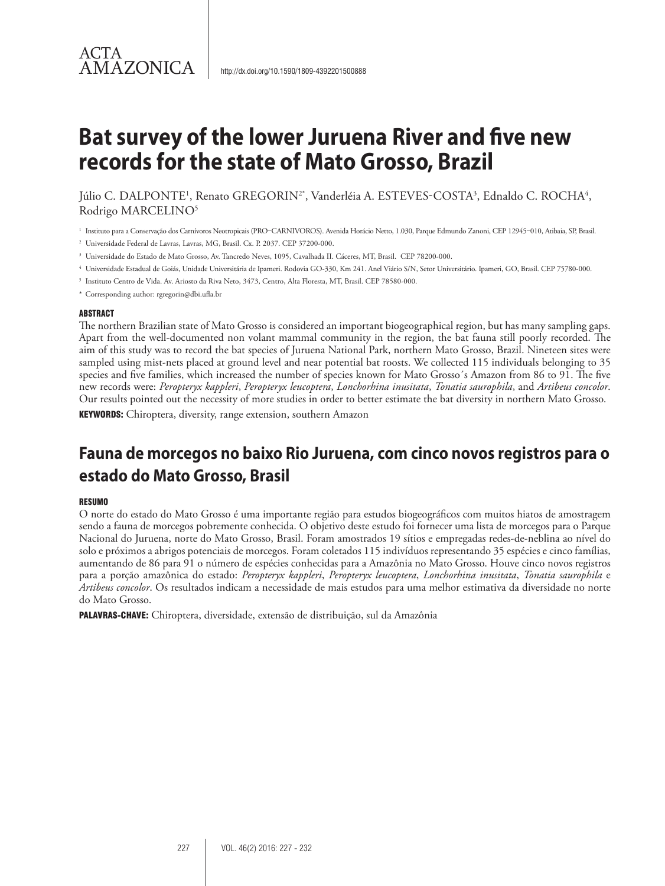## ACTA **AMAZONICA**

# **Bat survey of the lower Juruena River and five new records for the state of Mato Grosso, Brazil**

Júlio C. DALPONTE<sup>1</sup>, Renato GREGORIN<sup>2\*</sup>, Vanderléia A. ESTEVES-COSTA<sup>3</sup>, Ednaldo C. ROCHA<sup>4</sup>, Rodrigo MARCELINO5

<sup>1</sup> Instituto para a Conservação dos Carnívoros Neotropicais (PRO–CARNIVOROS). Avenida Horácio Netto, 1.030, Parque Edmundo Zanoni, CEP 12945–010, Atibaia, SP, Brasil.

<sup>2</sup> Universidade Federal de Lavras, Lavras, MG, Brasil. Cx. P. 2037. CEP 37200-000.

- <sup>3</sup> Universidade do Estado de Mato Grosso, Av. Tancredo Neves, 1095, Cavalhada II. Cáceres, MT, Brasil. CEP 78200-000.
- 4 Universidade Estadual de Goiás, Unidade Universitária de Ipameri. Rodovia GO-330, Km 241. Anel Viário S/N, Setor Universitário. Ipameri, GO, Brasil. CEP 75780-000.
- <sup>5</sup> Instituto Centro de Vida. Av. Ariosto da Riva Neto, 3473, Centro, Alta Floresta, MT, Brasil. CEP 78580-000.
- \* Corresponding author: rgregorin@dbi.ufla.br

#### ABSTRACT

The northern Brazilian state of Mato Grosso is considered an important biogeographical region, but has many sampling gaps. Apart from the well-documented non volant mammal community in the region, the bat fauna still poorly recorded. The aim of this study was to record the bat species of Juruena National Park, northern Mato Grosso, Brazil. Nineteen sites were sampled using mist-nets placed at ground level and near potential bat roosts. We collected 115 individuals belonging to 35 species and five families, which increased the number of species known for Mato Grosso´s Amazon from 86 to 91. The five new records were: *Peropteryx kappleri*, *Peropteryx leucoptera*, *Lonchorhina inusitata*, *Tonatia saurophila*, and *Artibeus concolor*. Our results pointed out the necessity of more studies in order to better estimate the bat diversity in northern Mato Grosso.

KEYWORDS: Chiroptera, diversity, range extension, southern Amazon

## **Fauna de morcegos no baixo Rio Juruena, com cinco novos registros para o estado do Mato Grosso, Brasil**

#### **RESUMO**

O norte do estado do Mato Grosso é uma importante região para estudos biogeográficos com muitos hiatos de amostragem sendo a fauna de morcegos pobremente conhecida. O objetivo deste estudo foi fornecer uma lista de morcegos para o Parque Nacional do Juruena, norte do Mato Grosso, Brasil. Foram amostrados 19 sítios e empregadas redes-de-neblina ao nível do solo e próximos a abrigos potenciais de morcegos. Foram coletados 115 indivíduos representando 35 espécies e cinco famílias, aumentando de 86 para 91 o número de espécies conhecidas para a Amazônia no Mato Grosso. Houve cinco novos registros para a porção amazônica do estado: *Peropteryx kappleri*, *Peropteryx leucoptera*, *Lonchorhina inusitata*, *Tonatia saurophila* e *Artibeus concolor*. Os resultados indicam a necessidade de mais estudos para uma melhor estimativa da diversidade no norte do Mato Grosso.

PALAVRAS-CHAVE: Chiroptera, diversidade, extensão de distribuição, sul da Amazônia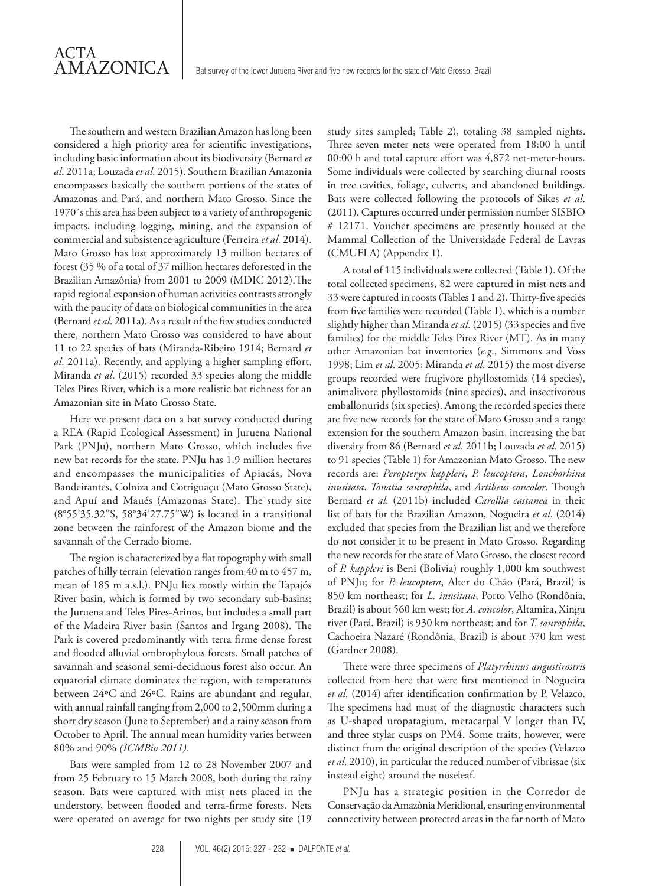The southern and western Brazilian Amazon has long been considered a high priority area for scientific investigations, including basic information about its biodiversity (Bernard *et al*. 2011a; Louzada *et al*. 2015). Southern Brazilian Amazonia encompasses basically the southern portions of the states of Amazonas and Pará, and northern Mato Grosso. Since the 1970´s this area has been subject to a variety of anthropogenic impacts, including logging, mining, and the expansion of commercial and subsistence agriculture (Ferreira *et al*. 2014). Mato Grosso has lost approximately 13 million hectares of forest (35 % of a total of 37 million hectares deforested in the Brazilian Amazônia) from 2001 to 2009 (MDIC 2012).The rapid regional expansion of human activities contrasts strongly with the paucity of data on biological communities in the area (Bernard *et al*. 2011a). As a result of the few studies conducted there, northern Mato Grosso was considered to have about 11 to 22 species of bats (Miranda-Ribeiro 1914; Bernard *et al*. 2011a). Recently, and applying a higher sampling effort, Miranda *et al*. (2015) recorded 33 species along the middle Teles Pires River, which is a more realistic bat richness for an Amazonian site in Mato Grosso State.

ACTA

AMAZONICA

Here we present data on a bat survey conducted during a REA (Rapid Ecological Assessment) in Juruena National Park (PNJu), northern Mato Grosso, which includes five new bat records for the state. PNJu has 1.9 million hectares and encompasses the municipalities of Apiacás, Nova Bandeirantes, Colniza and Cotriguaçu (Mato Grosso State), and Apuí and Maués (Amazonas State). The study site (8°55'35.32"S, 58°34'27.75"W) is located in a transitional zone between the rainforest of the Amazon biome and the savannah of the Cerrado biome.

The region is characterized by a flat topography with small patches of hilly terrain (elevation ranges from 40 m to 457 m, mean of 185 m a.s.l.). PNJu lies mostly within the Tapajós River basin, which is formed by two secondary sub-basins: the Juruena and Teles Pires-Arinos, but includes a small part of the Madeira River basin (Santos and Irgang 2008). The Park is covered predominantly with terra firme dense forest and flooded alluvial ombrophylous forests. Small patches of savannah and seasonal semi-deciduous forest also occur. An equatorial climate dominates the region, with temperatures between 24ºC and 26ºC. Rains are abundant and regular, with annual rainfall ranging from 2,000 to 2,500mm during a short dry season (June to September) and a rainy season from October to April. The annual mean humidity varies between 80% and 90% *(ICMBio 2011).*

Bats were sampled from 12 to 28 November 2007 and from 25 February to 15 March 2008, both during the rainy season. Bats were captured with mist nets placed in the understory, between flooded and terra-firme forests. Nets were operated on average for two nights per study site (19 study sites sampled; Table 2), totaling 38 sampled nights. Three seven meter nets were operated from 18:00 h until 00:00 h and total capture effort was 4,872 net-meter-hours. Some individuals were collected by searching diurnal roosts in tree cavities, foliage, culverts, and abandoned buildings. Bats were collected following the protocols of Sikes *et al*. (2011). Captures occurred under permission number SISBIO # 12171. Voucher specimens are presently housed at the Mammal Collection of the Universidade Federal de Lavras (CMUFLA) (Appendix 1).

A total of 115 individuals were collected (Table 1). Of the total collected specimens, 82 were captured in mist nets and 33 were captured in roosts (Tables 1 and 2). Thirty-five species from five families were recorded (Table 1), which is a number slightly higher than Miranda *et al*. (2015) (33 species and five families) for the middle Teles Pires River (MT). As in many other Amazonian bat inventories (*e.g*., Simmons and Voss 1998; Lim *et al*. 2005; Miranda *et al*. 2015) the most diverse groups recorded were frugivore phyllostomids (14 species), animalivore phyllostomids (nine species), and insectivorous emballonurids (six species). Among the recorded species there are five new records for the state of Mato Grosso and a range extension for the southern Amazon basin, increasing the bat diversity from 86 (Bernard *et al*. 2011b; Louzada *et al*. 2015) to 91 species (Table 1) for Amazonian Mato Grosso. The new records are: *Peropteryx kappleri*, *P. leucoptera*, *Lonchorhina inusitata*, *Tonatia saurophila*, and *Artibeus concolor*. Though Bernard *et al*. (2011b) included *Carollia castanea* in their list of bats for the Brazilian Amazon, Nogueira *et al*. (2014) excluded that species from the Brazilian list and we therefore do not consider it to be present in Mato Grosso. Regarding the new records for the state of Mato Grosso, the closest record of *P. kappleri* is Beni (Bolivia) roughly 1,000 km southwest of PNJu; for *P. leucoptera*, Alter do Chão (Pará, Brazil) is 850 km northeast; for *L. inusitata*, Porto Velho (Rondônia, Brazil) is about 560 km west; for *A. concolor*, Altamira, Xingu river (Pará, Brazil) is 930 km northeast; and for *T. saurophila*, Cachoeira Nazaré (Rondônia, Brazil) is about 370 km west (Gardner 2008).

There were three specimens of *Platyrrhinus angustirostris* collected from here that were first mentioned in Nogueira *et al*. (2014) after identification confirmation by P. Velazco. The specimens had most of the diagnostic characters such as U-shaped uropatagium, metacarpal V longer than IV, and three stylar cusps on PM4. Some traits, however, were distinct from the original description of the species (Velazco *et al*. 2010), in particular the reduced number of vibrissae (six instead eight) around the noseleaf.

PNJu has a strategic position in the Corredor de Conservação da Amazônia Meridional, ensuring environmental connectivity between protected areas in the far north of Mato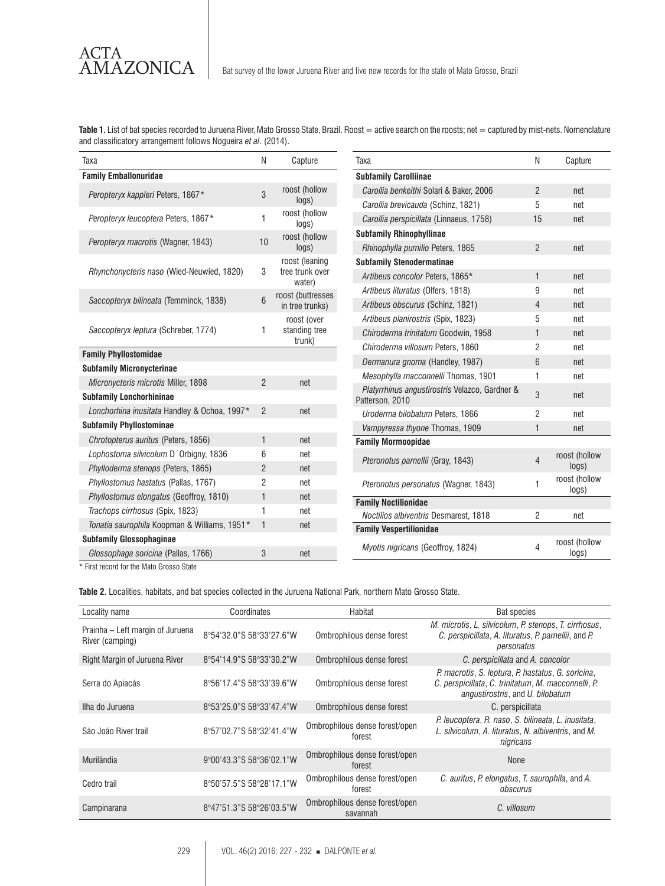Table 1. List of bat species recorded to Juruena River, Mato Grosso State, Brazil. Roost = active search on the roosts; net = captured by mist-nets. Nomenclature and classificatory arrangement follows Nogueira *et al*. (2014).

| Taxa                                         | Ν              | Capture                                     |
|----------------------------------------------|----------------|---------------------------------------------|
| <b>Family Emballonuridae</b>                 |                |                                             |
| Peropteryx kappleri Peters, 1867*            | 3              | roost (hollow<br>logs)                      |
| Peropteryx leucoptera Peters, 1867*          | 1              | roost (hollow<br>logs)                      |
| Peropteryx macrotis (Wagner, 1843)           | 10             | roost (hollow<br>logs)                      |
| Rhynchonycteris naso (Wied-Neuwied, 1820)    | 3              | roost (leaning<br>tree trunk over<br>water) |
| Saccopteryx bilineata (Temminck, 1838)       | 6              | roost (buttresses<br>in tree trunks)        |
| Saccopteryx leptura (Schreber, 1774)         | 1              | roost (over<br>standing tree<br>trunk)      |
| <b>Family Phyllostomidae</b>                 |                |                                             |
| <b>Subfamily Micronycterinae</b>             |                |                                             |
| Micronycteris microtis Miller, 1898          | $\mathfrak{p}$ | net                                         |
| <b>Subfamily Lonchorhininae</b>              |                |                                             |
| Lonchorhina inusitata Handley & Ochoa, 1997* | $\mathfrak{p}$ | net                                         |
| <b>Subfamily Phyllostominae</b>              |                |                                             |
| Chrotopterus auritus (Peters, 1856)          | $\mathbf{1}$   | net                                         |
| Lophostoma silvicolum D'Orbigny, 1836        | 6              | net                                         |
| Phylloderma stenops (Peters, 1865)           | $\overline{2}$ | net                                         |
| Phyllostomus hastatus (Pallas, 1767)         | $\overline{2}$ | net                                         |
| Phyllostomus elongatus (Geoffroy, 1810)      | $\mathbf{1}$   | net                                         |
| Trachops cirrhosus (Spix, 1823)              | 1              | net                                         |
| Tonatia saurophila Koopman & Williams, 1951* | $\mathbf{1}$   | net                                         |
| <b>Subfamily Glossophaginae</b>              |                |                                             |
| Glossophaga soricina (Pallas, 1766)          | 3              | net                                         |

| Taxa                                                              | N              | Capture                |
|-------------------------------------------------------------------|----------------|------------------------|
| <b>Subfamily Carolliinae</b>                                      |                |                        |
| Carollia benkeithi Solari & Baker, 2006                           | $\mathfrak{p}$ | net                    |
| Carollia brevicauda (Schinz, 1821)                                | 5              | net                    |
| Carollia perspicillata (Linnaeus, 1758)                           | 15             | net                    |
| <b>Subfamily Rhinophyllinae</b>                                   |                |                        |
| Rhinophylla pumilio Peters, 1865                                  | $\overline{2}$ | net                    |
| <b>Subfamily Stenodermatinae</b>                                  |                |                        |
| Artibeus concolor Peters, 1865*                                   | 1              | net                    |
| Artibeus lituratus (Olfers, 1818)                                 | 9              | net                    |
| Artibeus obscurus (Schinz, 1821)                                  | $\overline{4}$ | net                    |
| Artibeus planirostris (Spix, 1823)                                | 5              | net                    |
| Chiroderma trinitatum Goodwin, 1958                               | $\mathbf{1}$   | net                    |
| Chiroderma villosum Peters, 1860                                  | $\overline{2}$ | net                    |
| Dermanura gnoma (Handley, 1987)                                   | 6              | net                    |
| Mesophylla macconnelli Thomas, 1901                               | 1              | net                    |
| Platyrrhinus angustirostris Velazco, Gardner &<br>Patterson, 2010 | 3              | net                    |
| Uroderma bilobatum Peters, 1866                                   | $\overline{2}$ | net                    |
| Vampyressa thyone Thomas, 1909                                    | $\mathbf{1}$   | net                    |
| <b>Family Mormoopidae</b>                                         |                |                        |
| Pteronotus parnellii (Gray, 1843)                                 | $\overline{4}$ | roost (hollow<br>logs) |
| Pteronotus personatus (Wagner, 1843)                              | 1              | roost (hollow<br>logs) |
| <b>Family Noctilionidae</b>                                       |                |                        |
| Noctilios albiventris Desmarest, 1818                             | 2              | net                    |
| <b>Family Vespertilionidae</b>                                    |                |                        |
| Myotis nigricans (Geoffroy, 1824)                                 | 4              | roost (hollow<br>logs) |

\* First record for the Mato Grosso State

**Table 2.** Localities, habitats, and bat species collected in the Juruena National Park, northern Mato Grosso State.

| Locality name                                       | Coordinates              | Habitat                                    | Bat species                                                                                                                                   |
|-----------------------------------------------------|--------------------------|--------------------------------------------|-----------------------------------------------------------------------------------------------------------------------------------------------|
| Prainha – Left margin of Juruena<br>River (camping) | 8°54'32.0"S 58°33'27.6"W | Ombrophilous dense forest                  | M. microtis, L. silvicolum, P. stenops, T. cirrhosus,<br>C. perspicillata, A. lituratus, P. parnellii, and P.<br>personatus                   |
| Right Margin of Juruena River                       | 8°54'14.9"S 58°33'30.2"W | Ombrophilous dense forest                  | C. perspicillata and A. concolor                                                                                                              |
| Serra do Apiacás                                    | 8°56'17.4"S 58°33'39.6"W | Ombrophilous dense forest                  | P. macrotis, S. leptura, P. hastatus, G. soricina,<br>C. perspicillata, C. trinitatum, M. macconnelli, P.<br>angustirostris, and U. bilobatum |
| Ilha do Juruena                                     | 8°53'25.0"S 58°33'47.4"W | Ombrophilous dense forest                  | C. perspicillata                                                                                                                              |
| São João River trail                                | 8°57'02.7"S 58°32'41.4"W | Ombrophilous dense forest/open<br>forest   | P. leucoptera, R. naso, S. bilineata, L. inusitata,<br>L. silvicolum, A. lituratus, N. albiventris, and M.<br>nigricans                       |
| Murilândia                                          | 9°00'43.3"S 58°36'02.1"W | Ombrophilous dense forest/open<br>forest   | None                                                                                                                                          |
| Cedro trail                                         | 8°50'57.5"S 58°28'17.1"W | Ombrophilous dense forest/open<br>forest   | C. auritus, P. elongatus, T. saurophila, and A.<br>obscurus                                                                                   |
| Campinarana                                         | 8°47'51.3"S 58°26'03.5"W | Ombrophilous dense forest/open<br>savannah | C. villosum                                                                                                                                   |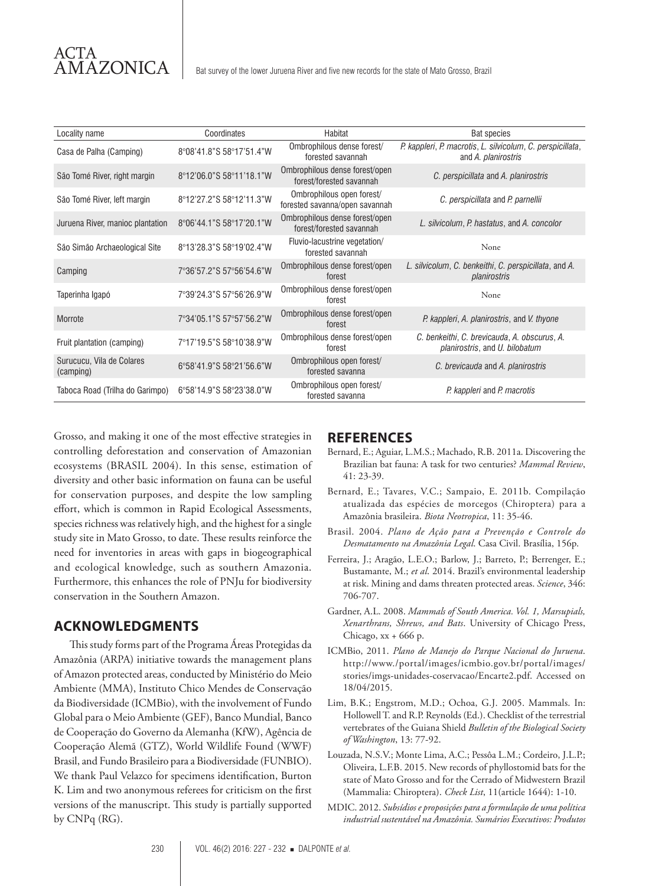| Locality name                          | Coordinates              | Habitat                                                     | Bat species                                                                       |
|----------------------------------------|--------------------------|-------------------------------------------------------------|-----------------------------------------------------------------------------------|
| Casa de Palha (Camping)                | 8°08'41.8"S 58°17'51.4"W | Ombrophilous dense forest/<br>forested savannah             | P. kappleri, P. macrotis, L. silvicolum, C. perspicillata,<br>and A. planirostris |
| São Tomé River, right margin           | 8°12'06.0"S 58°11'18.1"W | Ombrophilous dense forest/open<br>forest/forested savannah  | C. perspicillata and A. planirostris                                              |
| São Tomé River, left margin            | 8°12'27.2"S 58°12'11.3"W | Ombrophilous open forest/<br>forested savanna/open savannah | C. perspicillata and P. parnellii                                                 |
| Juruena River, manioc plantation       | 8°06'44.1"S 58°17'20.1"W | Ombrophilous dense forest/open<br>forest/forested savannah  | L. silvicolum, P. hastatus, and A. concolor                                       |
| São Simão Archaeological Site          | 8°13'28.3"S 58°19'02.4"W | Fluvio-lacustrine vegetation/<br>forested savannah          | None                                                                              |
| Camping                                | 7°36'57.2"S 57°56'54.6"W | Ombrophilous dense forest/open<br>forest                    | L. silvicolum, C. benkeithi, C. perspicillata, and A.<br>planirostris             |
| Taperinha Igapó                        | 7°39'24.3"S 57°56'26.9"W | Ombrophilous dense forest/open<br>forest                    | None                                                                              |
| Morrote                                | 7°34'05.1"S 57°57'56.2"W | Ombrophilous dense forest/open<br>forest                    | P. kappleri, A. planirostris, and V. thyone                                       |
| Fruit plantation (camping)             | 7°17'19.5"S 58°10'38.9"W | Ombrophilous dense forest/open<br>forest                    | C. benkeithi, C. brevicauda, A. obscurus, A.<br>planirostris, and U. bilobatum    |
| Surucucu, Vila de Colares<br>(camping) | 6°58'41.9"S 58°21'56.6"W | Ombrophilous open forest/<br>forested savanna               | C. brevicauda and A. planirostris                                                 |
| Taboca Road (Trilha do Garimpo)        | 6°58'14.9"S 58°23'38.0"W | Ombrophilous open forest/<br>forested savanna               | P. kappleri and P. macrotis                                                       |

Grosso, and making it one of the most effective strategies in controlling deforestation and conservation of Amazonian ecosystems (BRASIL 2004). In this sense, estimation of diversity and other basic information on fauna can be useful for conservation purposes, and despite the low sampling effort, which is common in Rapid Ecological Assessments, species richness was relatively high, and the highest for a single study site in Mato Grosso, to date. These results reinforce the need for inventories in areas with gaps in biogeographical and ecological knowledge, such as southern Amazonia. Furthermore, this enhances the role of PNJu for biodiversity conservation in the Southern Amazon.

### **ACKNOWLEDGMENTS**

This study forms part of the Programa Áreas Protegidas da Amazônia (ARPA) initiative towards the management plans of Amazon protected areas, conducted by Ministério do Meio Ambiente (MMA), Instituto Chico Mendes de Conservação da Biodiversidade (ICMBio), with the involvement of Fundo Global para o Meio Ambiente (GEF), Banco Mundial, Banco de Cooperação do Governo da Alemanha (KfW), Agência de Cooperação Alemã (GTZ), World Wildlife Found (WWF) Brasil, and Fundo Brasileiro para a Biodiversidade (FUNBIO). We thank Paul Velazco for specimens identification, Burton K. Lim and two anonymous referees for criticism on the first versions of the manuscript. This study is partially supported by CNPq (RG).

### **REFERENCES**

- Bernard, E.; Aguiar, L.M.S.; Machado, R.B. 2011a. Discovering the Brazilian bat fauna: A task for two centuries? *Mammal Review*,  $41.23 - 39$
- Bernard, E.; Tavares, V.C.; Sampaio, E. 2011b. Compilação atualizada das espécies de morcegos (Chiroptera) para a Amazônia brasileira. *Biota Neotropica*, 11: 35-46.
- Brasil. 2004. *Plano de Ação para a Prevenção e Controle do Desmatamento na Amazônia Legal*. Casa Civil. Brasília, 156p.
- Ferreira, J.; Aragão, L.E.O.; Barlow, J.; Barreto, P.; Berrenger, E.; Bustamante, M.; *et al*. 2014. Brazil's environmental leadership at risk. Mining and dams threaten protected areas. *Science*, 346: 706-707.
- Gardner, A.L. 2008. *Mammals of South America. Vol. 1, Marsupials, Xenarthrans, Shrews, and Bats*. University of Chicago Press, Chicago, xx + 666 p.
- ICMBio, 2011. *Plano de Manejo do Parque Nacional do Juruena*. http://www./portal/images/icmbio.gov.br/portal/images/ stories/imgs-unidades-coservacao/Encarte2.pdf. Accessed on 18/04/2015.
- Lim, B.K.; Engstrom, M.D.; Ochoa, G.J. 2005. Mammals. In: Hollowell T. and R.P. Reynolds (Ed.). Checklist of the terrestrial vertebrates of the Guiana Shield *Bulletin of the Biological Society of Washington*, 13: 77-92.
- Louzada, N.S.V.; Monte Lima, A.C.; Pessôa L.M.; Cordeiro, J.L.P.; Oliveira, L.F.B. 2015. New records of phyllostomid bats for the state of Mato Grosso and for the Cerrado of Midwestern Brazil (Mammalia: Chiroptera). *Check List*, 11(article 1644): 1-10.
- MDIC. 2012. *Subsídios e proposições para a formulação de uma política industrial sustentável na Amazônia. Sumários Executivos: Produtos*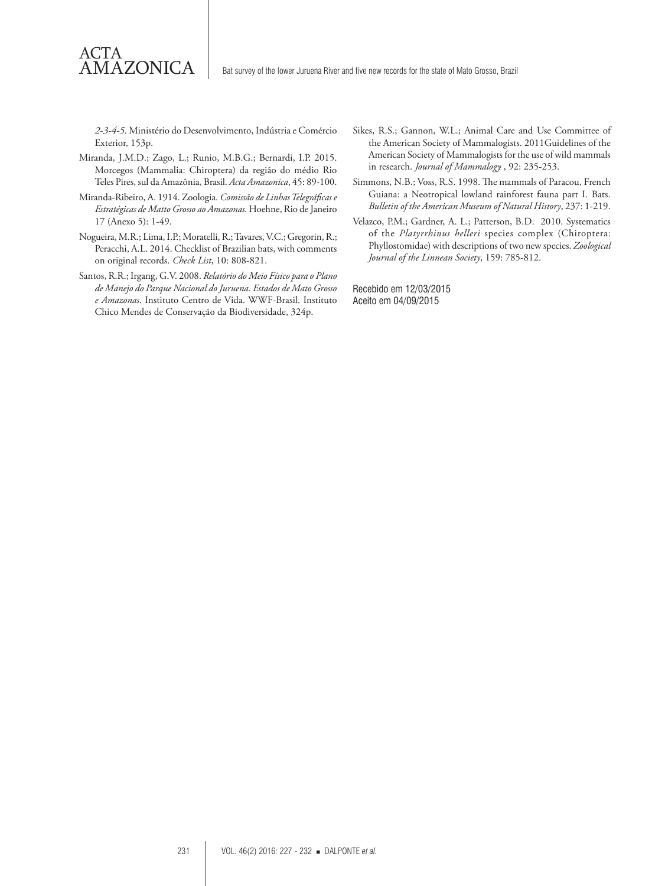*2-3-4-5*. Ministério do Desenvolvimento, Indústria e Comércio Exterior, 153p.

Miranda, J.M.D.; Zago, L.; Runio, M.B.G.; Bernardi, I.P. 2015. Morcegos (Mammalia: Chiroptera) da região do médio Rio Teles Pires, sul da Amazônia, Brasil. *Acta Amazonica*, 45: 89-100.

ACTA

**AMAZONICA** 

- Miranda-Ribeiro, A. 1914. Zoologia. *Comissão de Linhas Telegráficas e Estratégicas de Matto Grosso ao Amazonas*. Hoehne, Rio de Janeiro 17 (Anexo 5): 1-49.
- Nogueira, M.R.; Lima, I.P.; Moratelli, R.; Tavares, V.C.; Gregorin, R.; Peracchi, A.L. 2014. Checklist of Brazilian bats, with comments on original records. *Check List*, 10: 808-821.
- Santos, R.R.; Irgang, G.V. 2008. *Relatório do Meio Físico para o Plano de Manejo do Parque Nacional do Juruena. Estados de Mato Grosso e Amazonas*. Instituto Centro de Vida. WWF-Brasil. Instituto Chico Mendes de Conservação da Biodiversidade, 324p.
- Sikes, R.S.; Gannon, W.L.; Animal Care and Use Committee of the American Society of Mammalogists. 2011Guidelines of the American Society of Mammalogists for the use of wild mammals in research. *Journal of Mammalogy* , 92: 235-253.
- Simmons, N.B.; Voss, R.S. 1998. The mammals of Paracou, French Guiana: a Neotropical lowland rainforest fauna part I. Bats. *Bulletin of the American Museum of Natural History*, 237: 1-219.
- Velazco, P.M.; Gardner, A. L.; Patterson, B.D. 2010. Systematics of the *Platyrrhinus helleri* species complex (Chiroptera: Phyllostomidae) with descriptions of two new species. *Zoological Journal of the Linnean Society*, 159: 785-812.

Recebido em 12/03/2015 Aceito em 04/09/2015